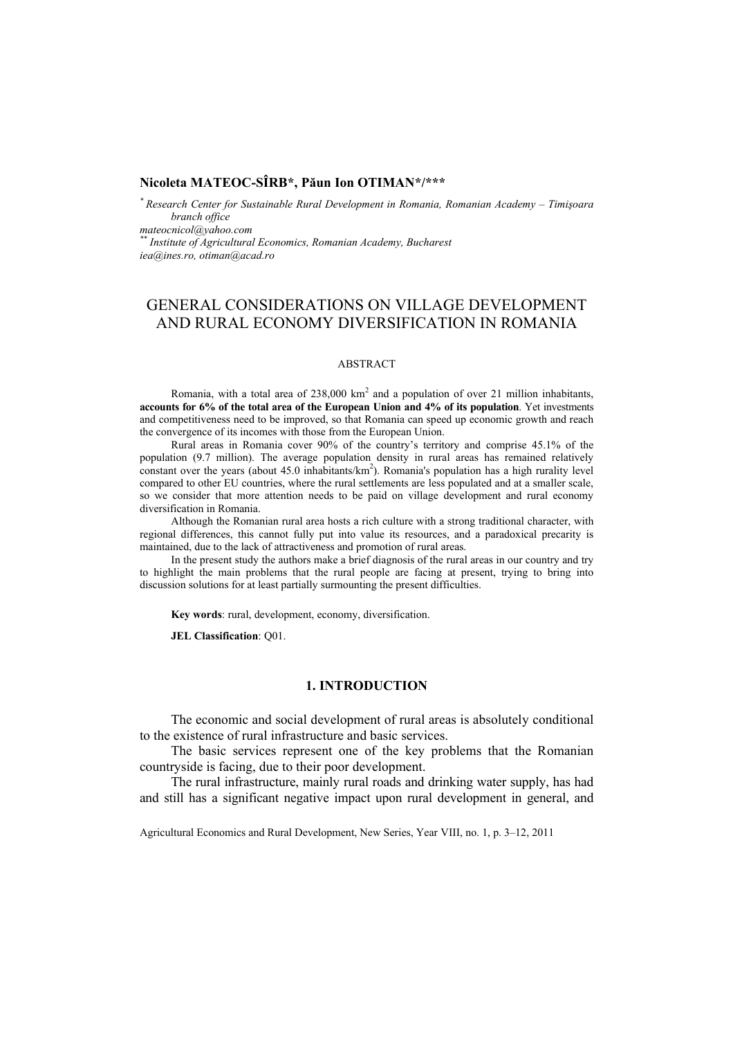# **Nicoleta MATEOC-SÎRB\*, Păun Ion OTIMAN\*/\*\*\***

*\* Research Center for Sustainable Rural Development in Romania, Romanian Academy – Timişoara branch office mateocnicol@yahoo.com \*\* Institute of Agricultural Economics, Romanian Academy, Bucharest iea@ines.ro, otiman@acad.ro* 

# GENERAL CONSIDERATIONS ON VILLAGE DEVELOPMENT AND RURAL ECONOMY DIVERSIFICATION IN ROMANIA

#### ABSTRACT

Romania, with a total area of  $238,000 \text{ km}^2$  and a population of over 21 million inhabitants, **accounts for 6% of the total area of the European Union and 4% of its population**. Yet investments and competitiveness need to be improved, so that Romania can speed up economic growth and reach the convergence of its incomes with those from the European Union.

Rural areas in Romania cover 90% of the country's territory and comprise 45.1% of the population (9.7 million). The average population density in rural areas has remained relatively constant over the years (about  $45.0$  inhabitants/ $km<sup>2</sup>$ ). Romania's population has a high rurality level compared to other EU countries, where the rural settlements are less populated and at a smaller scale, so we consider that more attention needs to be paid on village development and rural economy diversification in Romania.

Although the Romanian rural area hosts a rich culture with a strong traditional character, with regional differences, this cannot fully put into value its resources, and a paradoxical precarity is maintained, due to the lack of attractiveness and promotion of rural areas.

In the present study the authors make a brief diagnosis of the rural areas in our country and try to highlight the main problems that the rural people are facing at present, trying to bring into discussion solutions for at least partially surmounting the present difficulties.

**Key words**: rural, development, economy, diversification.

**JEL Classification**: Q01.

# **1. INTRODUCTION**

The economic and social development of rural areas is absolutely conditional to the existence of rural infrastructure and basic services.

The basic services represent one of the key problems that the Romanian countryside is facing, due to their poor development.

The rural infrastructure, mainly rural roads and drinking water supply, has had and still has a significant negative impact upon rural development in general, and

Agricultural Economics and Rural Development, New Series, Year VIII, no. 1, p. 3–12, 2011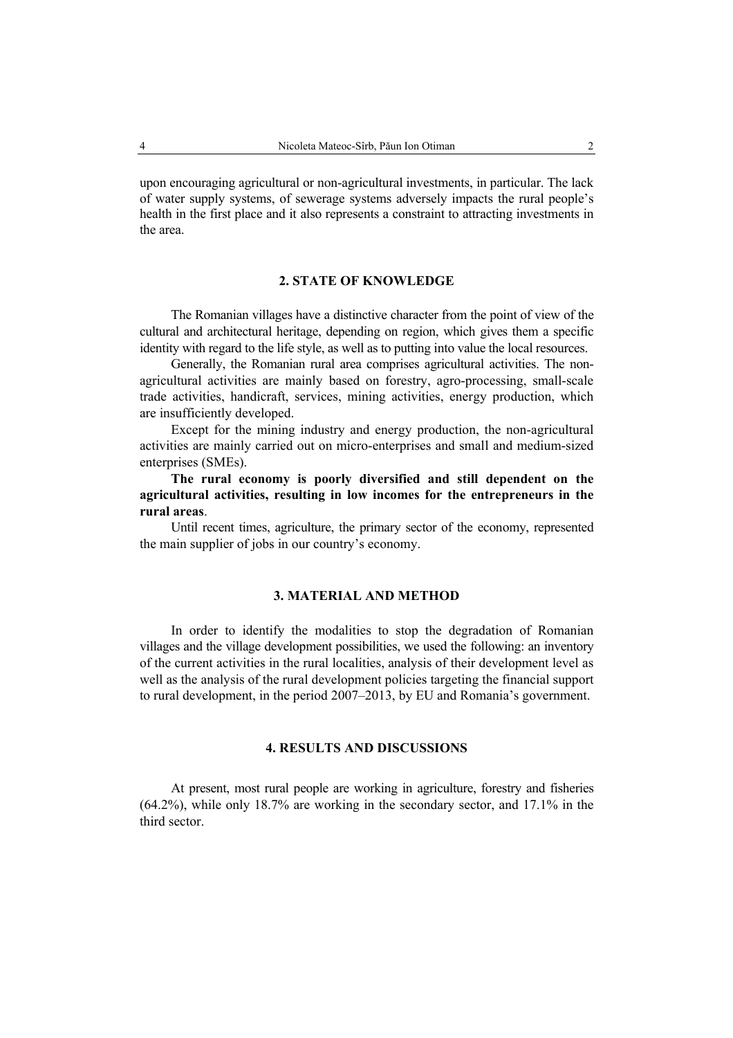upon encouraging agricultural or non-agricultural investments, in particular. The lack of water supply systems, of sewerage systems adversely impacts the rural people's health in the first place and it also represents a constraint to attracting investments in the area.

# **2. STATE OF KNOWLEDGE**

The Romanian villages have a distinctive character from the point of view of the cultural and architectural heritage, depending on region, which gives them a specific identity with regard to the life style, as well as to putting into value the local resources.

Generally, the Romanian rural area comprises agricultural activities. The nonagricultural activities are mainly based on forestry, agro-processing, small-scale trade activities, handicraft, services, mining activities, energy production, which are insufficiently developed.

Except for the mining industry and energy production, the non-agricultural activities are mainly carried out on micro-enterprises and small and medium-sized enterprises (SMEs).

**The rural economy is poorly diversified and still dependent on the agricultural activities, resulting in low incomes for the entrepreneurs in the rural areas**.

Until recent times, agriculture, the primary sector of the economy, represented the main supplier of jobs in our country's economy.

# **3. MATERIAL AND METHOD**

In order to identify the modalities to stop the degradation of Romanian villages and the village development possibilities, we used the following: an inventory of the current activities in the rural localities, analysis of their development level as well as the analysis of the rural development policies targeting the financial support to rural development, in the period 2007–2013, by EU and Romania's government.

# **4. RESULTS AND DISCUSSIONS**

At present, most rural people are working in agriculture, forestry and fisheries (64.2%), while only 18.7% are working in the secondary sector, and 17.1% in the third sector.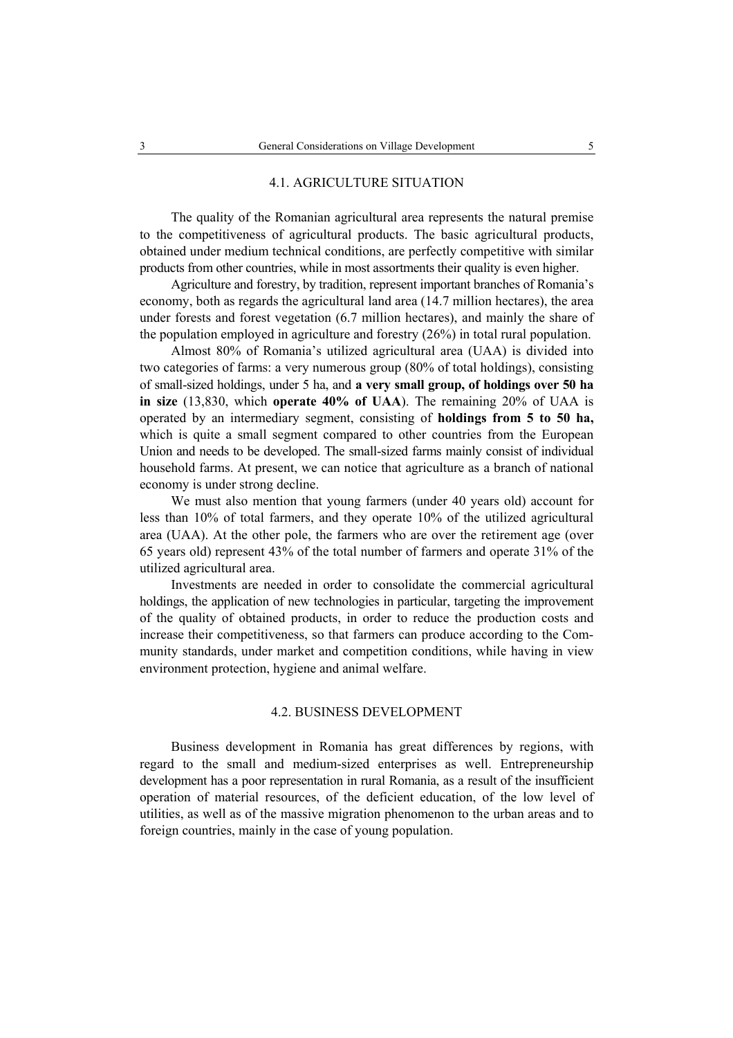### 4.1. AGRICULTURE SITUATION

The quality of the Romanian agricultural area represents the natural premise to the competitiveness of agricultural products. The basic agricultural products, obtained under medium technical conditions, are perfectly competitive with similar products from other countries, while in most assortments their quality is even higher.

Agriculture and forestry, by tradition, represent important branches of Romania's economy, both as regards the agricultural land area (14.7 million hectares), the area under forests and forest vegetation (6.7 million hectares), and mainly the share of the population employed in agriculture and forestry (26%) in total rural population.

Almost 80% of Romania's utilized agricultural area (UAA) is divided into two categories of farms: a very numerous group (80% of total holdings), consisting of small-sized holdings, under 5 ha, and **a very small group, of holdings over 50 ha in size** (13,830, which **operate 40% of UAA**). The remaining 20% of UAA is operated by an intermediary segment, consisting of **holdings from 5 to 50 ha,** which is quite a small segment compared to other countries from the European Union and needs to be developed. The small-sized farms mainly consist of individual household farms. At present, we can notice that agriculture as a branch of national economy is under strong decline.

We must also mention that young farmers (under 40 years old) account for less than 10% of total farmers, and they operate 10% of the utilized agricultural area (UAA). At the other pole, the farmers who are over the retirement age (over 65 years old) represent 43% of the total number of farmers and operate 31% of the utilized agricultural area.

Investments are needed in order to consolidate the commercial agricultural holdings, the application of new technologies in particular, targeting the improvement of the quality of obtained products, in order to reduce the production costs and increase their competitiveness, so that farmers can produce according to the Community standards, under market and competition conditions, while having in view environment protection, hygiene and animal welfare.

#### 4.2. BUSINESS DEVELOPMENT

Business development in Romania has great differences by regions, with regard to the small and medium-sized enterprises as well. Entrepreneurship development has a poor representation in rural Romania, as a result of the insufficient operation of material resources, of the deficient education, of the low level of utilities, as well as of the massive migration phenomenon to the urban areas and to foreign countries, mainly in the case of young population.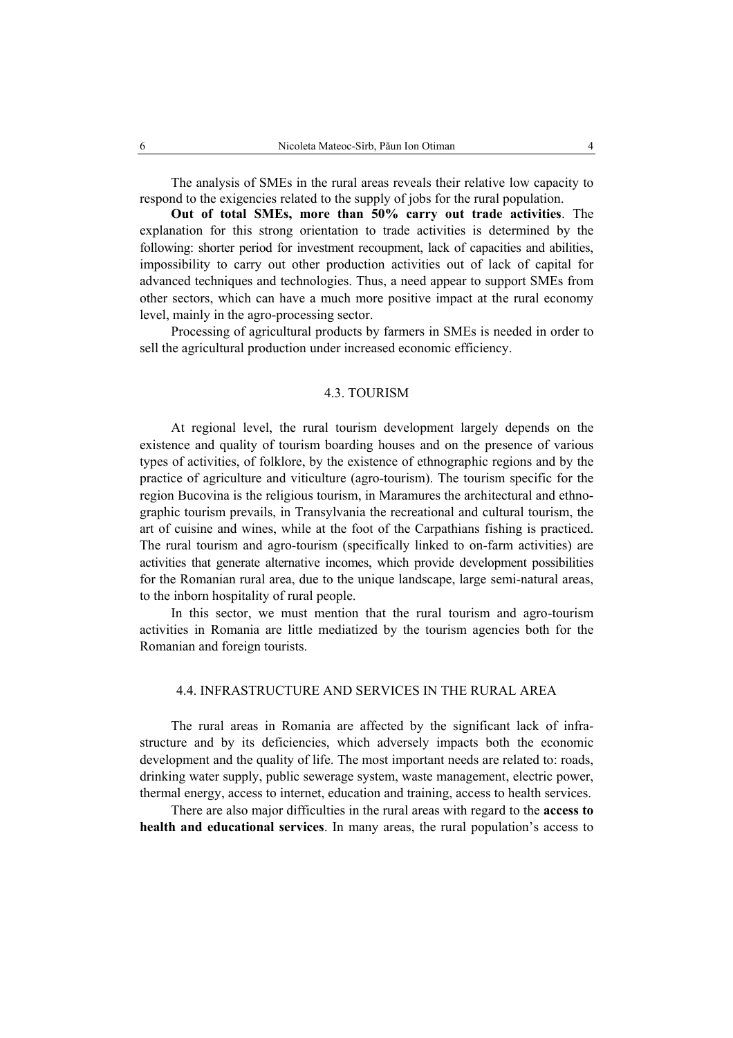The analysis of SMEs in the rural areas reveals their relative low capacity to respond to the exigencies related to the supply of jobs for the rural population.

**Out of total SMEs, more than 50% carry out trade activities**. The explanation for this strong orientation to trade activities is determined by the following: shorter period for investment recoupment, lack of capacities and abilities, impossibility to carry out other production activities out of lack of capital for advanced techniques and technologies. Thus, a need appear to support SMEs from other sectors, which can have a much more positive impact at the rural economy level, mainly in the agro-processing sector.

Processing of agricultural products by farmers in SMEs is needed in order to sell the agricultural production under increased economic efficiency.

#### 4.3. TOURISM

At regional level, the rural tourism development largely depends on the existence and quality of tourism boarding houses and on the presence of various types of activities, of folklore, by the existence of ethnographic regions and by the practice of agriculture and viticulture (agro-tourism). The tourism specific for the region Bucovina is the religious tourism, in Maramures the architectural and ethnographic tourism prevails, in Transylvania the recreational and cultural tourism, the art of cuisine and wines, while at the foot of the Carpathians fishing is practiced. The rural tourism and agro-tourism (specifically linked to on-farm activities) are activities that generate alternative incomes, which provide development possibilities for the Romanian rural area, due to the unique landscape, large semi-natural areas, to the inborn hospitality of rural people.

In this sector, we must mention that the rural tourism and agro-tourism activities in Romania are little mediatized by the tourism agencies both for the Romanian and foreign tourists.

# 4.4. INFRASTRUCTURE AND SERVICES IN THE RURAL AREA

The rural areas in Romania are affected by the significant lack of infrastructure and by its deficiencies, which adversely impacts both the economic development and the quality of life. The most important needs are related to: roads, drinking water supply, public sewerage system, waste management, electric power, thermal energy, access to internet, education and training, access to health services.

There are also major difficulties in the rural areas with regard to the **access to health and educational services**. In many areas, the rural population's access to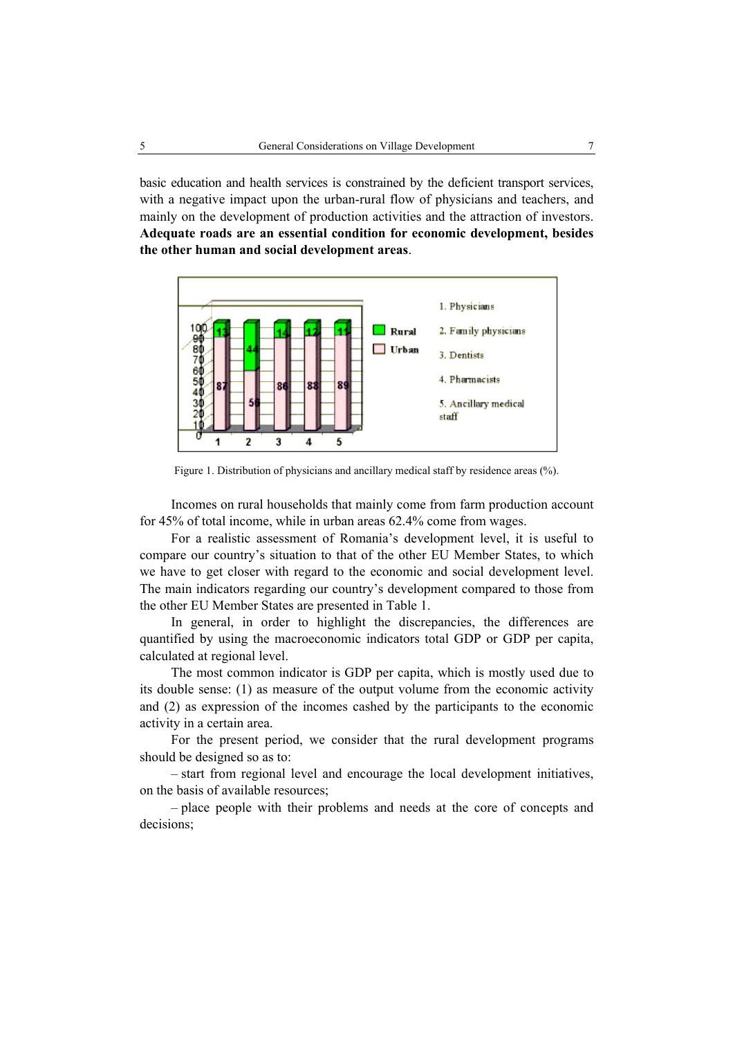basic education and health services is constrained by the deficient transport services, with a negative impact upon the urban-rural flow of physicians and teachers, and mainly on the development of production activities and the attraction of investors. **Adequate roads are an essential condition for economic development, besides the other human and social development areas**.



Figure 1. Distribution of physicians and ancillary medical staff by residence areas  $(\%).$ 

Incomes on rural households that mainly come from farm production account for 45% of total income, while in urban areas 62.4% come from wages.

For a realistic assessment of Romania's development level, it is useful to compare our country's situation to that of the other EU Member States, to which we have to get closer with regard to the economic and social development level. The main indicators regarding our country's development compared to those from the other EU Member States are presented in Table 1.

In general, in order to highlight the discrepancies, the differences are quantified by using the macroeconomic indicators total GDP or GDP per capita, calculated at regional level.

The most common indicator is GDP per capita, which is mostly used due to its double sense: (1) as measure of the output volume from the economic activity and (2) as expression of the incomes cashed by the participants to the economic activity in a certain area.

For the present period, we consider that the rural development programs should be designed so as to:

– start from regional level and encourage the local development initiatives, on the basis of available resources;

– place people with their problems and needs at the core of concepts and decisions;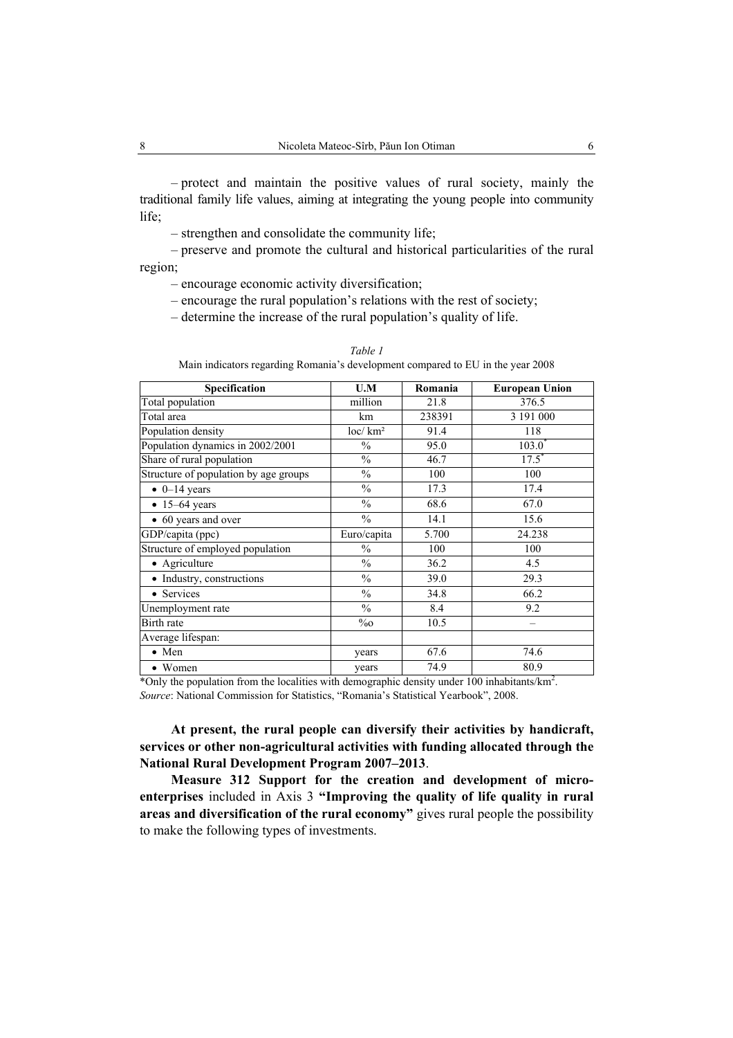– protect and maintain the positive values of rural society, mainly the traditional family life values, aiming at integrating the young people into community life;

– strengthen and consolidate the community life;

– preserve and promote the cultural and historical particularities of the rural region;

– encourage economic activity diversification;

– encourage the rural population's relations with the rest of society;

– determine the increase of the rural population's quality of life.

| Specification                         | U.M                 | Romania | <b>European Union</b> |
|---------------------------------------|---------------------|---------|-----------------------|
| Total population                      | million             | 21.8    | 376.5                 |
| Total area                            | km                  | 238391  | 3 191 000             |
| Population density                    | loc/km <sup>2</sup> | 91.4    | 118                   |
| Population dynamics in 2002/2001      | $\frac{0}{0}$       | 95.0    | 103.0                 |
| Share of rural population             | $\frac{0}{0}$       | 46.7    | $17.5$ <sup>*</sup>   |
| Structure of population by age groups | $\frac{0}{0}$       | 100     | 100                   |
| $\bullet$ 0-14 years                  | $\frac{0}{0}$       | 17.3    | 17.4                  |
| $\bullet$ 15-64 years                 | $\frac{0}{0}$       | 68.6    | 67.0                  |
| • 60 years and over                   | $\frac{0}{0}$       | 14.1    | 15.6                  |
| GDP/capita (ppc)                      | Euro/capita         | 5.700   | 24.238                |
| Structure of employed population      | $\%$                | 100     | 100                   |
| Agriculture                           | $\frac{0}{0}$       | 36.2    | 4.5                   |
| Industry, constructions               | $\frac{0}{0}$       | 39.0    | 29.3                  |
| Services                              | $\frac{0}{0}$       | 34.8    | 66.2                  |
| Unemployment rate                     | $\frac{0}{0}$       | 8.4     | 9.2                   |
| Birth rate                            | $\%o$               | 10.5    |                       |
| Average lifespan:                     |                     |         |                       |
| $\bullet$ Men                         | years               | 67.6    | 74.6                  |
| • Women                               | years               | 74.9    | 80.9                  |

*Table 1*  Main indicators regarding Romania's development compared to EU in the year 2008

\*Only the population from the localities with demographic density under 100 inhabitants/ $km^2$ . *Source*: National Commission for Statistics, "Romania's Statistical Yearbook", 2008.

**At present, the rural people can diversify their activities by handicraft, services or other non-agricultural activities with funding allocated through the National Rural Development Program 2007–2013**.

**Measure 312 Support for the creation and development of microenterprises** included in Axis 3 **"Improving the quality of life quality in rural areas and diversification of the rural economy"** gives rural people the possibility to make the following types of investments.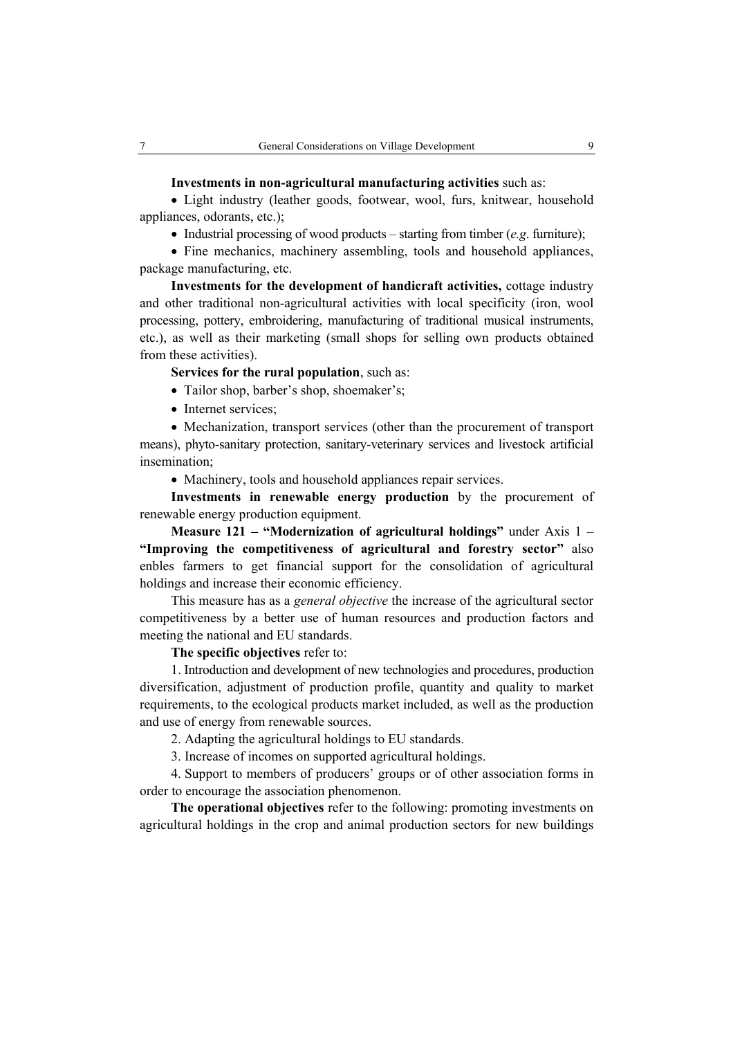#### **Investments in non-agricultural manufacturing activities** such as:

• Light industry (leather goods, footwear, wool, furs, knitwear, household appliances, odorants, etc.);

• Industrial processing of wood products – starting from timber (*e.g*. furniture);

• Fine mechanics, machinery assembling, tools and household appliances, package manufacturing, etc.

**Investments for the development of handicraft activities,** cottage industry and other traditional non-agricultural activities with local specificity (iron, wool processing, pottery, embroidering, manufacturing of traditional musical instruments, etc.), as well as their marketing (small shops for selling own products obtained from these activities).

# **Services for the rural population**, such as:

• Tailor shop, barber's shop, shoemaker's:

• Internet services;

• Mechanization, transport services (other than the procurement of transport means), phyto-sanitary protection, sanitary-veterinary services and livestock artificial insemination;

• Machinery, tools and household appliances repair services.

**Investments in renewable energy production** by the procurement of renewable energy production equipment.

**Measure 121 – "Modernization of agricultural holdings"** under Axis 1 – **"Improving the competitiveness of agricultural and forestry sector"** also enbles farmers to get financial support for the consolidation of agricultural holdings and increase their economic efficiency.

This measure has as a *general objective* the increase of the agricultural sector competitiveness by a better use of human resources and production factors and meeting the national and EU standards.

**The specific objectives** refer to:

1. Introduction and development of new technologies and procedures, production diversification, adjustment of production profile, quantity and quality to market requirements, to the ecological products market included, as well as the production and use of energy from renewable sources.

2. Adapting the agricultural holdings to EU standards.

3. Increase of incomes on supported agricultural holdings.

4. Support to members of producers' groups or of other association forms in order to encourage the association phenomenon.

**The operational objectives** refer to the following: promoting investments on agricultural holdings in the crop and animal production sectors for new buildings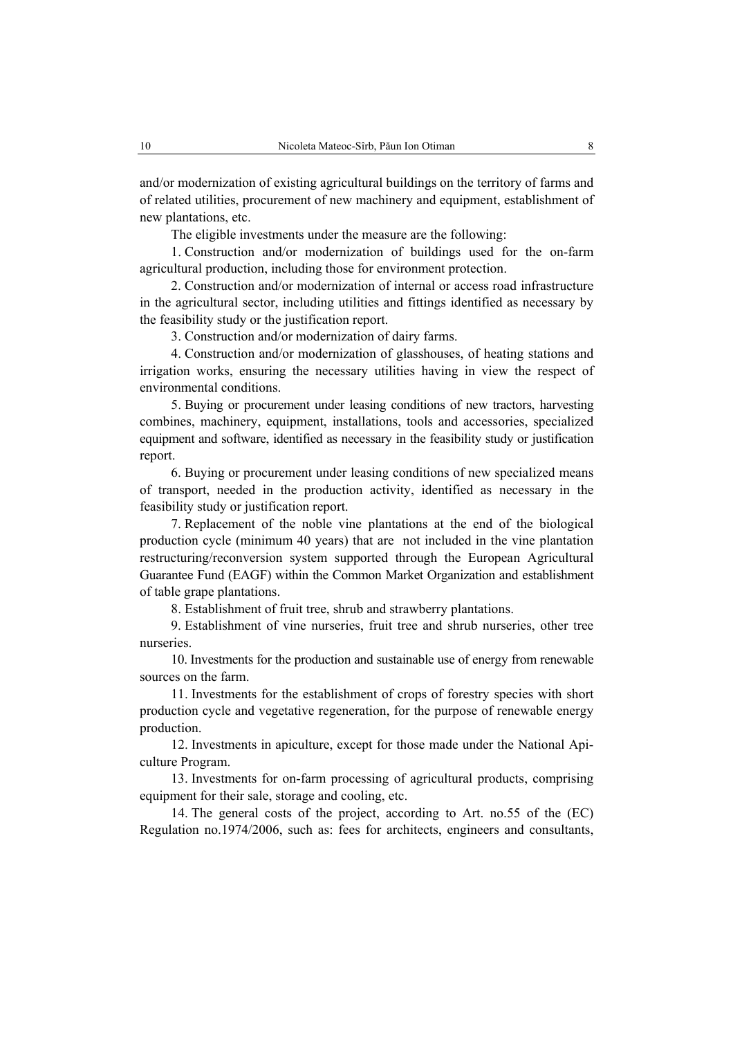and/or modernization of existing agricultural buildings on the territory of farms and of related utilities, procurement of new machinery and equipment, establishment of new plantations, etc.

The eligible investments under the measure are the following:

1. Construction and/or modernization of buildings used for the on-farm agricultural production, including those for environment protection.

2. Construction and/or modernization of internal or access road infrastructure in the agricultural sector, including utilities and fittings identified as necessary by the feasibility study or the justification report.

3. Construction and/or modernization of dairy farms.

4. Construction and/or modernization of glasshouses, of heating stations and irrigation works, ensuring the necessary utilities having in view the respect of environmental conditions.

5. Buying or procurement under leasing conditions of new tractors, harvesting combines, machinery, equipment, installations, tools and accessories, specialized equipment and software, identified as necessary in the feasibility study or justification report.

6. Buying or procurement under leasing conditions of new specialized means of transport, needed in the production activity, identified as necessary in the feasibility study or justification report.

7. Replacement of the noble vine plantations at the end of the biological production cycle (minimum 40 years) that are not included in the vine plantation restructuring/reconversion system supported through the European Agricultural Guarantee Fund (EAGF) within the Common Market Organization and establishment of table grape plantations.

8. Establishment of fruit tree, shrub and strawberry plantations.

9. Establishment of vine nurseries, fruit tree and shrub nurseries, other tree nurseries.

10. Investments for the production and sustainable use of energy from renewable sources on the farm.

11. Investments for the establishment of crops of forestry species with short production cycle and vegetative regeneration, for the purpose of renewable energy production.

12. Investments in apiculture, except for those made under the National Apiculture Program.

13. Investments for on-farm processing of agricultural products, comprising equipment for their sale, storage and cooling, etc.

14. The general costs of the project, according to Art. no.55 of the (EC) Regulation no.1974/2006, such as: fees for architects, engineers and consultants,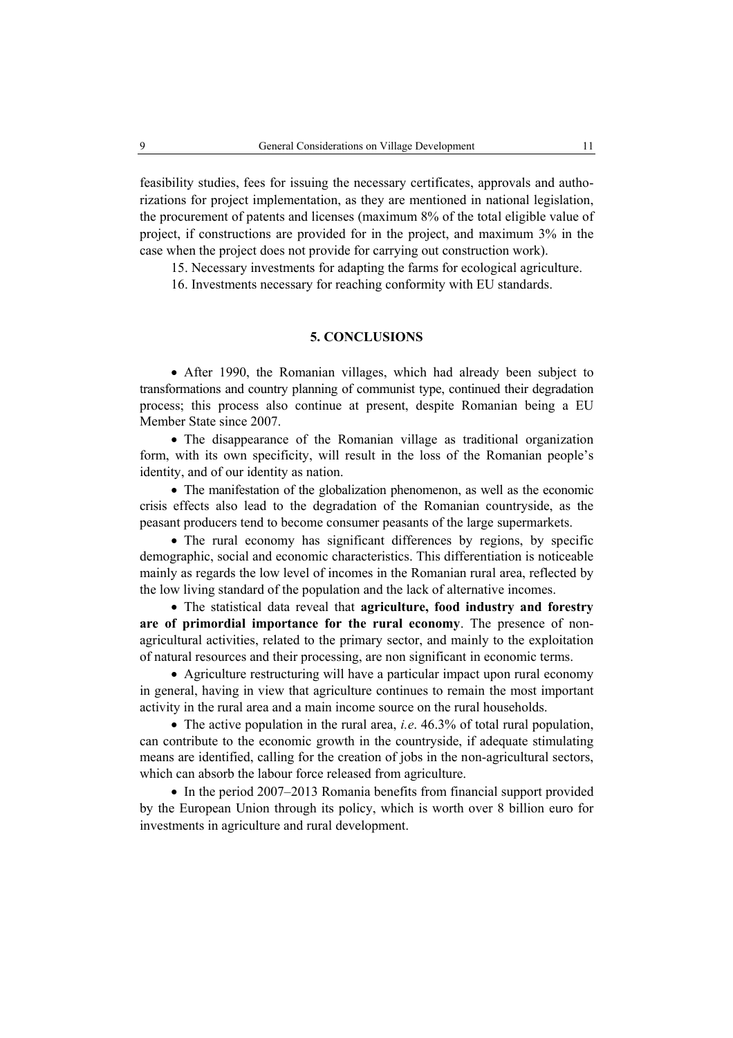feasibility studies, fees for issuing the necessary certificates, approvals and authorizations for project implementation, as they are mentioned in national legislation, the procurement of patents and licenses (maximum 8% of the total eligible value of project, if constructions are provided for in the project, and maximum 3% in the case when the project does not provide for carrying out construction work).

15. Necessary investments for adapting the farms for ecological agriculture.

16. Investments necessary for reaching conformity with EU standards.

# **5. CONCLUSIONS**

• After 1990, the Romanian villages, which had already been subject to transformations and country planning of communist type, continued their degradation process; this process also continue at present, despite Romanian being a EU Member State since 2007.

• The disappearance of the Romanian village as traditional organization form, with its own specificity, will result in the loss of the Romanian people's identity, and of our identity as nation.

• The manifestation of the globalization phenomenon, as well as the economic crisis effects also lead to the degradation of the Romanian countryside, as the peasant producers tend to become consumer peasants of the large supermarkets.

• The rural economy has significant differences by regions, by specific demographic, social and economic characteristics. This differentiation is noticeable mainly as regards the low level of incomes in the Romanian rural area, reflected by the low living standard of the population and the lack of alternative incomes.

• The statistical data reveal that **agriculture, food industry and forestry are of primordial importance for the rural economy**. The presence of nonagricultural activities, related to the primary sector, and mainly to the exploitation of natural resources and their processing, are non significant in economic terms.

• Agriculture restructuring will have a particular impact upon rural economy in general, having in view that agriculture continues to remain the most important activity in the rural area and a main income source on the rural households.

• The active population in the rural area, *i.e*. 46.3% of total rural population, can contribute to the economic growth in the countryside, if adequate stimulating means are identified, calling for the creation of jobs in the non-agricultural sectors, which can absorb the labour force released from agriculture.

• In the period 2007–2013 Romania benefits from financial support provided by the European Union through its policy, which is worth over 8 billion euro for investments in agriculture and rural development.